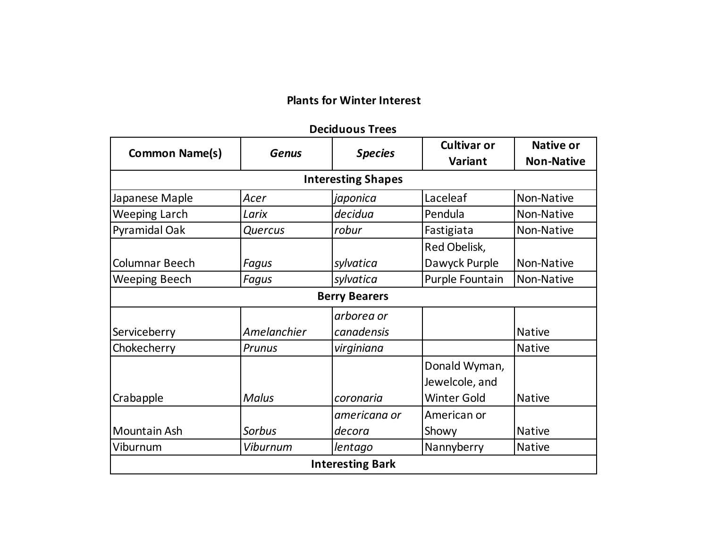## **Plants for Winter Interest**

#### **Deciduous Trees**

|                       | <b>Genus</b>   | <b>Species</b>            | <b>Cultivar or</b> | <b>Native or</b>  |
|-----------------------|----------------|---------------------------|--------------------|-------------------|
| <b>Common Name(s)</b> |                |                           | <b>Variant</b>     | <b>Non-Native</b> |
|                       |                | <b>Interesting Shapes</b> |                    |                   |
| Japanese Maple        | Acer           | japonica                  | Laceleaf           | Non-Native        |
| <b>Weeping Larch</b>  | Larix          | decidua                   | Pendula            | Non-Native        |
| Pyramidal Oak         | <b>Quercus</b> | robur                     | Fastigiata         | Non-Native        |
|                       |                |                           | Red Obelisk,       |                   |
| Columnar Beech        | Fagus          | sylvatica                 | Dawyck Purple      | Non-Native        |
| <b>Weeping Beech</b>  | <b>Fagus</b>   | sylvatica                 | Purple Fountain    | Non-Native        |
|                       |                | <b>Berry Bearers</b>      |                    |                   |
|                       |                | arborea or                |                    |                   |
| Serviceberry          | Amelanchier    | canadensis                |                    | <b>Native</b>     |
| Chokecherry           | Prunus         | virginiana                |                    | <b>Native</b>     |
|                       |                |                           | Donald Wyman,      |                   |
|                       |                |                           | Jewelcole, and     |                   |
| Crabapple             | <b>Malus</b>   | coronaria                 | <b>Winter Gold</b> | <b>Native</b>     |
|                       |                | americana or              | American or        |                   |
| <b>Mountain Ash</b>   | <b>Sorbus</b>  | decora                    | Showy              | <b>Native</b>     |
| Viburnum              | Viburnum       | lentago                   | Nannyberry         | <b>Native</b>     |
|                       |                | <b>Interesting Bark</b>   |                    |                   |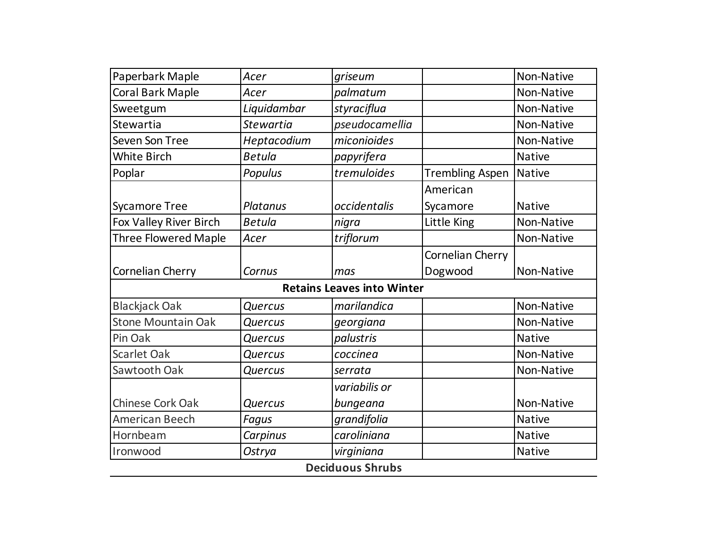| Paperbark Maple  |                |                         |                                   |  |  |  |  |
|------------------|----------------|-------------------------|-----------------------------------|--|--|--|--|
| Acer             | griseum        |                         | Non-Native                        |  |  |  |  |
| Acer             | palmatum       |                         | Non-Native                        |  |  |  |  |
| Liquidambar      | styraciflua    |                         | Non-Native                        |  |  |  |  |
| <b>Stewartia</b> | pseudocamellia |                         | Non-Native                        |  |  |  |  |
| Heptacodium      | miconioides    |                         | Non-Native                        |  |  |  |  |
| <b>Betula</b>    | papyrifera     |                         | <b>Native</b>                     |  |  |  |  |
| Populus          | tremuloides    | <b>Trembling Aspen</b>  | <b>Native</b>                     |  |  |  |  |
|                  |                | American                |                                   |  |  |  |  |
| Platanus         | occidentalis   | Sycamore                | <b>Native</b>                     |  |  |  |  |
| <b>Betula</b>    | nigra          | Little King             | Non-Native                        |  |  |  |  |
| Acer             | triflorum      |                         | Non-Native                        |  |  |  |  |
|                  |                | Cornelian Cherry        |                                   |  |  |  |  |
| Cornus           | mas            | Dogwood                 | Non-Native                        |  |  |  |  |
|                  |                |                         |                                   |  |  |  |  |
| Quercus          | marilandica    |                         | Non-Native                        |  |  |  |  |
| Quercus          | georgiana      |                         | Non-Native                        |  |  |  |  |
| Quercus          | palustris      |                         | <b>Native</b>                     |  |  |  |  |
| <b>Quercus</b>   | coccinea       |                         | Non-Native                        |  |  |  |  |
| Quercus          | serrata        |                         | Non-Native                        |  |  |  |  |
|                  | variabilis or  |                         |                                   |  |  |  |  |
| Quercus          | bungeana       |                         | Non-Native                        |  |  |  |  |
| Fagus            | grandifolia    |                         | <b>Native</b>                     |  |  |  |  |
| Carpinus         | caroliniana    |                         | <b>Native</b>                     |  |  |  |  |
| Ostrya           | virginiana     |                         | <b>Native</b>                     |  |  |  |  |
|                  |                |                         |                                   |  |  |  |  |
|                  |                | <b>Deciduous Shrubs</b> | <b>Retains Leaves into Winter</b> |  |  |  |  |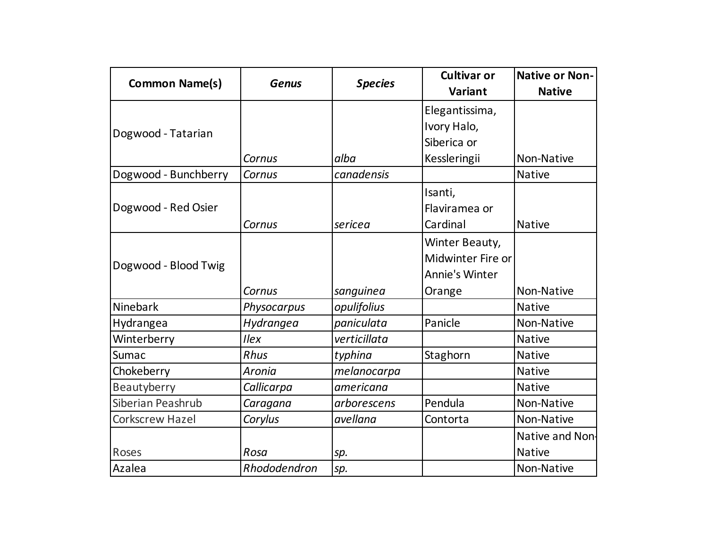| <b>Common Name(s)</b>  | <b>Genus</b> | <b>Species</b> | <b>Cultivar or</b>    | <b>Native or Non-</b> |
|------------------------|--------------|----------------|-----------------------|-----------------------|
|                        |              |                | Variant               | <b>Native</b>         |
|                        |              |                | Elegantissima,        |                       |
| Dogwood - Tatarian     |              |                | Ivory Halo,           |                       |
|                        |              |                | Siberica or           |                       |
|                        | Cornus       | alba           | Kessleringii          | Non-Native            |
| Dogwood - Bunchberry   | Cornus       | canadensis     |                       | <b>Native</b>         |
|                        |              |                | Isanti,               |                       |
| Dogwood - Red Osier    |              |                | Flaviramea or         |                       |
|                        | Cornus       | sericea        | Cardinal              | <b>Native</b>         |
|                        |              |                | Winter Beauty,        |                       |
|                        |              |                | Midwinter Fire or     |                       |
| Dogwood - Blood Twig   |              |                | <b>Annie's Winter</b> |                       |
|                        | Cornus       | sanguinea      | Orange                | Non-Native            |
| Ninebark               | Physocarpus  | opulifolius    |                       | <b>Native</b>         |
| Hydrangea              | Hydrangea    | paniculata     | Panicle               | Non-Native            |
| Winterberry            | <b>Ilex</b>  | verticillata   |                       | <b>Native</b>         |
| Sumac                  | Rhus         | typhina        | Staghorn              | <b>Native</b>         |
| Chokeberry             | Aronia       | melanocarpa    |                       | <b>Native</b>         |
| Beautyberry            | Callicarpa   | americana      |                       | <b>Native</b>         |
| Siberian Peashrub      | Caragana     | arborescens    | Pendula               | Non-Native            |
| <b>Corkscrew Hazel</b> | Corylus      | avellana       | Contorta              | Non-Native            |
|                        |              |                |                       | Native and Non-       |
| Roses                  | Rosa         | sp.            |                       | <b>Native</b>         |
| Azalea                 | Rhododendron | sp.            |                       | Non-Native            |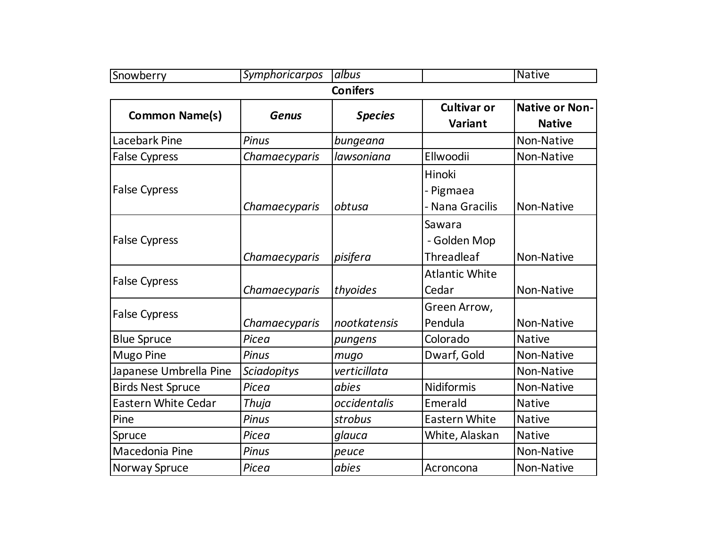| Snowberry                  | Symphoricarpos     | albus           |                       | <b>Native</b>         |
|----------------------------|--------------------|-----------------|-----------------------|-----------------------|
|                            |                    | <b>Conifers</b> |                       |                       |
| <b>Common Name(s)</b>      | <b>Genus</b>       | <b>Species</b>  | <b>Cultivar or</b>    | <b>Native or Non-</b> |
|                            |                    |                 | Variant               | <b>Native</b>         |
| <b>Lacebark Pine</b>       | <b>Pinus</b>       | bungeana        |                       | Non-Native            |
| <b>False Cypress</b>       | Chamaecyparis      | lawsoniana      | Ellwoodii             | Non-Native            |
|                            |                    |                 | Hinoki                |                       |
| <b>False Cypress</b>       |                    |                 | - Pigmaea             |                       |
|                            | Chamaecyparis      | obtusa          | - Nana Gracilis       | Non-Native            |
|                            |                    |                 | Sawara                |                       |
| <b>False Cypress</b>       |                    |                 | - Golden Mop          |                       |
|                            | Chamaecyparis      | pisifera        | <b>Threadleaf</b>     | Non-Native            |
|                            |                    |                 | <b>Atlantic White</b> |                       |
| <b>False Cypress</b>       | Chamaecyparis      | thyoides        | Cedar                 | Non-Native            |
| <b>False Cypress</b>       |                    |                 | Green Arrow,          |                       |
|                            | Chamaecyparis      | nootkatensis    | Pendula               | Non-Native            |
| <b>Blue Spruce</b>         | Picea              | pungens         | Colorado              | <b>Native</b>         |
| <b>Mugo Pine</b>           | Pinus              | mugo            | Dwarf, Gold           | Non-Native            |
| Japanese Umbrella Pine     | <b>Sciadopitys</b> | verticillata    |                       | Non-Native            |
| <b>Birds Nest Spruce</b>   | Picea              | abies           | Nidiformis            | Non-Native            |
| <b>Eastern White Cedar</b> | <b>Thuja</b>       | occidentalis    | Emerald               | <b>Native</b>         |
| Pine                       | Pinus              | strobus         | <b>Eastern White</b>  | <b>Native</b>         |
| Spruce                     | Picea              | glauca          | White, Alaskan        | <b>Native</b>         |
| Macedonia Pine             | <b>Pinus</b>       | peuce           |                       | Non-Native            |
| Norway Spruce              | Picea              | abies           | Acroncona             | Non-Native            |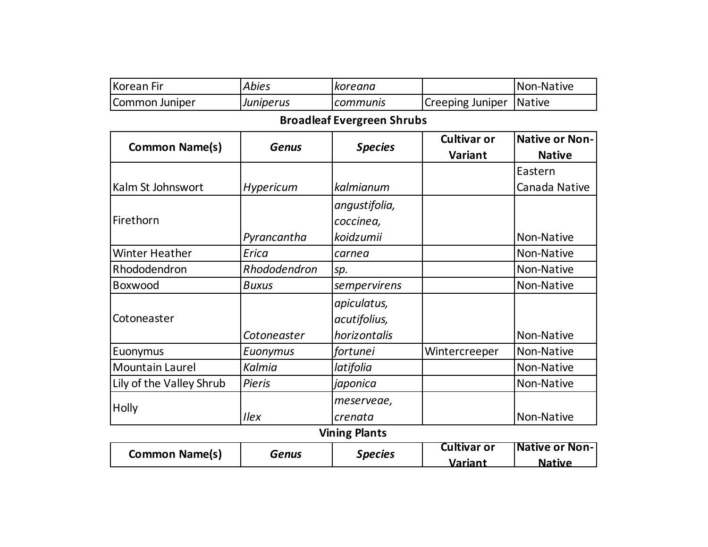| <b>Korean Fir</b>        | <b>Abies</b>     | koreana                           |                    | Non-Native            |
|--------------------------|------------------|-----------------------------------|--------------------|-----------------------|
| Common Juniper           | Juniperus        | communis                          | Creeping Juniper   | <b>Native</b>         |
|                          |                  | <b>Broadleaf Evergreen Shrubs</b> |                    |                       |
| <b>Common Name(s)</b>    | <b>Genus</b>     | <b>Species</b>                    | <b>Cultivar or</b> | <b>Native or Non-</b> |
|                          |                  |                                   | <b>Variant</b>     | <b>Native</b>         |
|                          |                  |                                   |                    | Eastern               |
| Kalm St Johnswort        | <b>Hypericum</b> | kalmianum                         |                    | Canada Native         |
|                          |                  | angustifolia,                     |                    |                       |
| Firethorn                |                  | coccinea,                         |                    |                       |
|                          | Pyrancantha      | koidzumii                         |                    | Non-Native            |
| <b>Winter Heather</b>    | Erica            | carnea                            |                    | Non-Native            |
| Rhododendron             | Rhododendron     | sp.                               |                    | Non-Native            |
| Boxwood                  | <b>Buxus</b>     | sempervirens                      |                    | Non-Native            |
|                          |                  | apiculatus,                       |                    |                       |
| Cotoneaster              |                  | acutifolius,                      |                    |                       |
|                          | Cotoneaster      | horizontalis                      |                    | Non-Native            |
| Euonymus                 | Euonymus         | fortunei                          | Wintercreeper      | Non-Native            |
| <b>Mountain Laurel</b>   | Kalmia           | latifolia                         |                    | Non-Native            |
| Lily of the Valley Shrub | <b>Pieris</b>    | japonica                          |                    | Non-Native            |
|                          |                  | meserveae,                        |                    |                       |
| Holly                    | <b>Ilex</b>      | crenata                           |                    | Non-Native            |
| <b>Vining Plants</b>     |                  |                                   |                    |                       |
| <b>Common Name(s)</b>    | <b>Genus</b>     | <b>Species</b>                    | <b>Cultivar or</b> | <b>Native or Non-</b> |
|                          |                  |                                   | Variant            | <b>Native</b>         |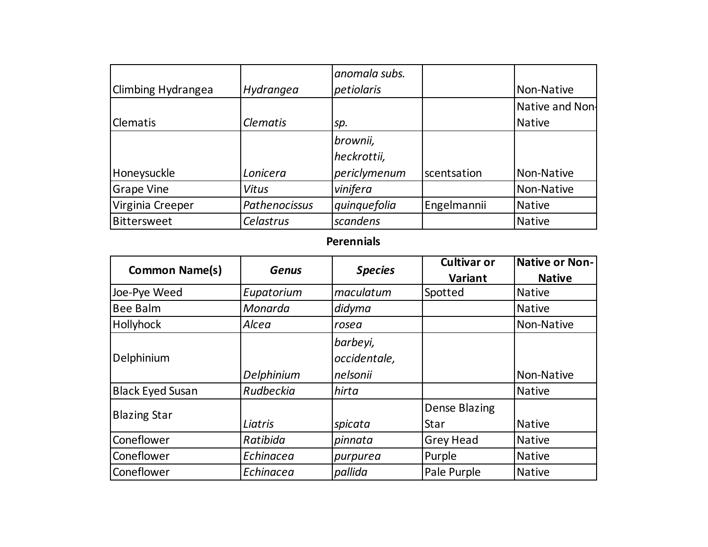|                    |                      | anomala subs. |             |                 |
|--------------------|----------------------|---------------|-------------|-----------------|
| Climbing Hydrangea | Hydrangea            | petiolaris    |             | Non-Native      |
|                    |                      |               |             | Native and Non- |
| <b>Clematis</b>    | <b>Clematis</b>      | sp.           |             | <b>Native</b>   |
|                    |                      | brownii,      |             |                 |
|                    |                      | heckrottii,   |             |                 |
| Honeysuckle        | Lonicera             | periclymenum  | scentsation | Non-Native      |
| <b>Grape Vine</b>  | Vitus                | vinifera      |             | Non-Native      |
| Virginia Creeper   | <b>Pathenocissus</b> | quinquefolia  | Engelmannii | Native          |
| Bittersweet        | <b>Celastrus</b>     | scandens      |             | <b>Native</b>   |

### **Perennials**

| <b>Common Name(s)</b>   | <b>Genus</b> | <b>Species</b> | <b>Cultivar or</b> | Native or Non- |
|-------------------------|--------------|----------------|--------------------|----------------|
|                         |              |                | Variant            | <b>Native</b>  |
| Joe-Pye Weed            | Eupatorium   | maculatum      | Spotted            | <b>Native</b>  |
| <b>Bee Balm</b>         | Monarda      | didyma         |                    | <b>Native</b>  |
| <b>Hollyhock</b>        | Alcea        | rosea          |                    | Non-Native     |
|                         |              | barbeyi,       |                    |                |
| Delphinium              |              | occidentale,   |                    |                |
|                         | Delphinium   | nelsonii       |                    | Non-Native     |
| <b>Black Eyed Susan</b> | Rudbeckia    | hirta          |                    | <b>Native</b>  |
|                         |              |                | Dense Blazing      |                |
| <b>Blazing Star</b>     | Liatris      | spicata        | Star               | <b>Native</b>  |
| Coneflower              | Ratibida     | pinnata        | <b>Grey Head</b>   | <b>Native</b>  |
| Coneflower              | Echinacea    | purpurea       | Purple             | <b>Native</b>  |
| Coneflower              | Echinacea    | pallida        | Pale Purple        | <b>Native</b>  |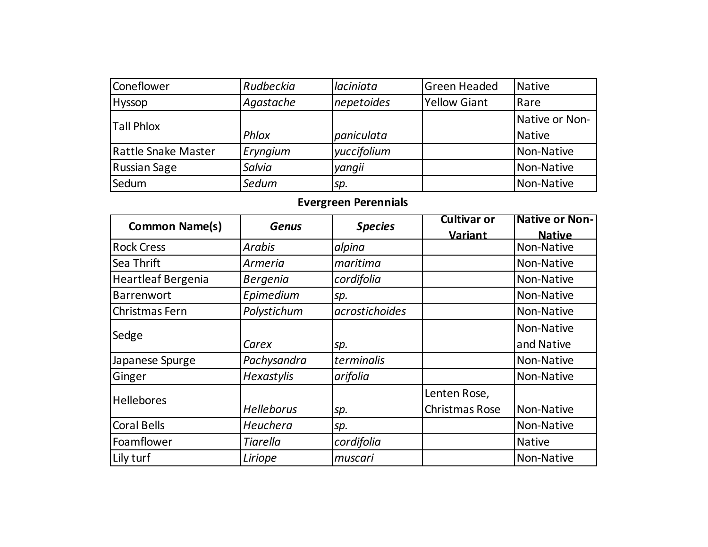| Coneflower          | Rudbeckia | laciniata   | <b>Green Headed</b> | Native         |
|---------------------|-----------|-------------|---------------------|----------------|
| <b>Hyssop</b>       | Agastache | nepetoides  | <b>Yellow Giant</b> | Rare           |
| <b>Tall Phlox</b>   |           |             |                     | Native or Non- |
|                     | Phlox     | paniculata  |                     | <b>Native</b>  |
| Rattle Snake Master | Eryngium  | yuccifolium |                     | Non-Native     |
| <b>Russian Sage</b> | Salvia    | yangii      |                     | Non-Native     |
| Sedum               | Sedum     | sp.         |                     | Non-Native     |

# **Evergreen Perennials**

| <b>Common Name(s)</b> | <b>Genus</b>      | <b>Species</b> | <b>Cultivar or</b> | <b>Native or Non-</b> |
|-----------------------|-------------------|----------------|--------------------|-----------------------|
|                       |                   |                | Variant            | <b>Native</b>         |
| <b>Rock Cress</b>     | Arabis            | alpina         |                    | Non-Native            |
| <b>Sea Thrift</b>     | Armeria           | maritima       |                    | Non-Native            |
| Heartleaf Bergenia    | <b>Bergenia</b>   | cordifolia     |                    | Non-Native            |
| Barrenwort            | Epimedium         | sp.            |                    | Non-Native            |
| Christmas Fern        | Polystichum       | acrostichoides |                    | Non-Native            |
| Sedge                 |                   |                |                    | Non-Native            |
|                       | Carex             | sp.            |                    | and Native            |
| Japanese Spurge       | Pachysandra       | terminalis     |                    | Non-Native            |
| Ginger                | Hexastylis        | arifolia       |                    | Non-Native            |
| <b>Hellebores</b>     |                   |                | Lenten Rose,       |                       |
|                       | <b>Helleborus</b> | sp.            | Christmas Rose     | Non-Native            |
| <b>Coral Bells</b>    | Heuchera          | sp.            |                    | Non-Native            |
| Foamflower            | <b>Tiarella</b>   | cordifolia     |                    | <b>Native</b>         |
| Lily turf             | Liriope           | muscari        |                    | Non-Native            |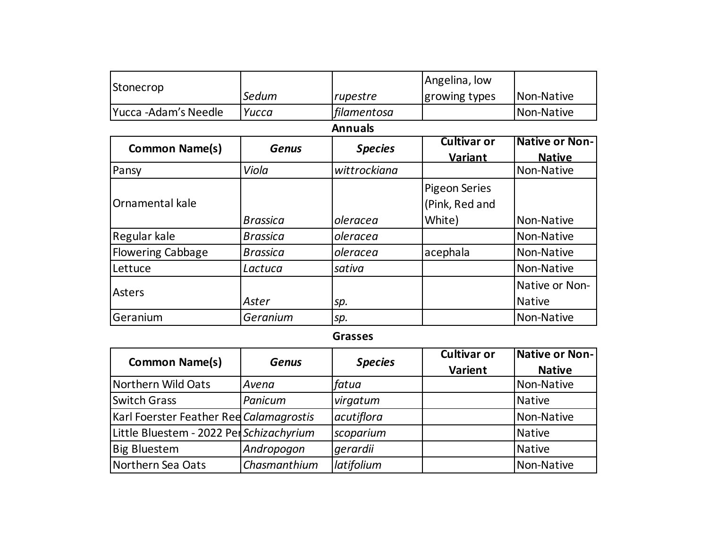| Stonecrop                |                 |                | Angelina, low        |                       |  |  |  |
|--------------------------|-----------------|----------------|----------------------|-----------------------|--|--|--|
|                          | Sedum           | rupestre       | growing types        | Non-Native            |  |  |  |
| Yucca -Adam's Needle     | Yucca           | filamentosa    |                      | Non-Native            |  |  |  |
|                          | <b>Annuals</b>  |                |                      |                       |  |  |  |
| <b>Common Name(s)</b>    | <b>Genus</b>    | <b>Species</b> | Cultivar or          | <b>Native or Non-</b> |  |  |  |
|                          |                 |                | <u>Variant</u>       | <b>Native</b>         |  |  |  |
| Pansy                    | Viola           | wittrockiana   |                      | Non-Native            |  |  |  |
|                          |                 |                | <b>Pigeon Series</b> |                       |  |  |  |
| Ornamental kale          |                 |                | (Pink, Red and       |                       |  |  |  |
|                          | <b>Brassica</b> | oleracea       | White)               | Non-Native            |  |  |  |
| Regular kale             | <b>Brassica</b> | oleracea       |                      | Non-Native            |  |  |  |
| <b>Flowering Cabbage</b> | <b>Brassica</b> | oleracea       | acephala             | Non-Native            |  |  |  |
| Lettuce                  | Lactuca         | sativa         |                      | Non-Native            |  |  |  |
| Asters                   |                 |                |                      | Native or Non-        |  |  |  |
|                          | Aster           | sp.            |                      | <b>Native</b>         |  |  |  |
| Geranium                 | Geranium        | sp.            |                      | Non-Native            |  |  |  |

#### **Grasses**

| <b>Common Name(s)</b>                    | <b>Genus</b> | <b>Species</b> | <b>Cultivar or</b><br>Varient | Native or Non-<br><b>Native</b> |
|------------------------------------------|--------------|----------------|-------------------------------|---------------------------------|
| Northern Wild Oats                       | Avena        | fatua          |                               | Non-Native                      |
| <b>Switch Grass</b>                      | Panicum      | virgatum       |                               | Native                          |
| Karl Foerster Feather Ree Calamagrostis  |              | acutiflora     |                               | Non-Native                      |
| Little Bluestem - 2022 Per Schizachyrium |              | scoparium      |                               | Native                          |
| <b>Big Bluestem</b>                      | Andropogon   | gerardii       |                               | Native                          |
| Northern Sea Oats                        | Chasmanthium | latifolium     |                               | Non-Native                      |